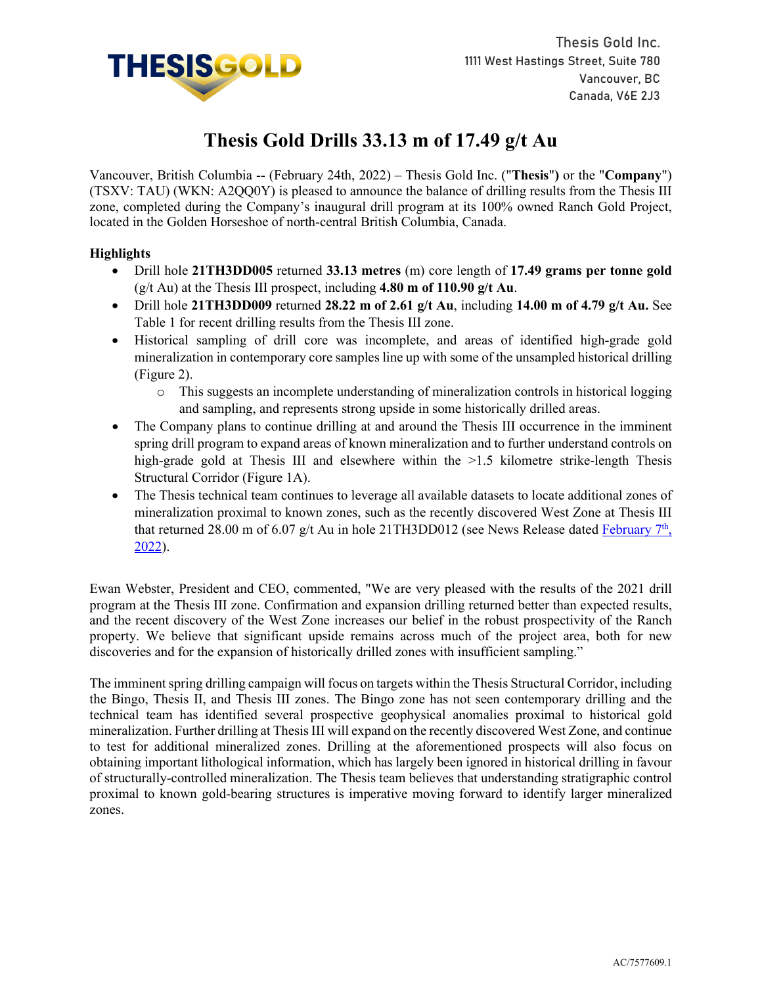

# **Thesis Gold Drills 33.13 m of 17.49 g/t Au**

Vancouver, British Columbia -- (February 24th, 2022) – Thesis Gold Inc. ("**Thesis**"**)** or the "**Company**") (TSXV: TAU) (WKN: A2QQ0Y) is pleased to announce the balance of drilling results from the Thesis III zone, completed during the Company's inaugural drill program at its 100% owned Ranch Gold Project, located in the Golden Horseshoe of north-central British Columbia, Canada.

## **Highlights**

- Drill hole **21TH3DD005** returned **33.13 metres** (m) core length of **17.49 grams per tonne gold** (g/t Au) at the Thesis III prospect, including **4.80 m of 110.90 g/t Au**.
- Drill hole **21TH3DD009** returned **28.22 m of 2.61 g/t Au**, including **14.00 m of 4.79 g/t Au.** See Table 1 for recent drilling results from the Thesis III zone.
- Historical sampling of drill core was incomplete, and areas of identified high-grade gold mineralization in contemporary core samples line up with some of the unsampled historical drilling (Figure 2).
	- o This suggests an incomplete understanding of mineralization controls in historical logging and sampling, and represents strong upside in some historically drilled areas.
- The Company plans to continue drilling at and around the Thesis III occurrence in the imminent spring drill program to expand areas of known mineralization and to further understand controls on high-grade gold at Thesis III and elsewhere within the  $>1.5$  kilometre strike-length Thesis Structural Corridor (Figure 1A).
- The Thesis technical team continues to leverage all available datasets to locate additional zones of mineralization proximal to known zones, such as the recently discovered West Zone at Thesis III that returned 28.00 m of 6.07 g/t Au in hole 21TH3DD012 (see News Release dated February  $7<sup>th</sup>$ , [2022\)](https://www.thesisgold.com/_resources/news/nr-20220207.pdf).

Ewan Webster, President and CEO, commented, "We are very pleased with the results of the 2021 drill program at the Thesis III zone. Confirmation and expansion drilling returned better than expected results, and the recent discovery of the West Zone increases our belief in the robust prospectivity of the Ranch property. We believe that significant upside remains across much of the project area, both for new discoveries and for the expansion of historically drilled zones with insufficient sampling."

The imminent spring drilling campaign will focus on targets within the Thesis Structural Corridor, including the Bingo, Thesis II, and Thesis III zones. The Bingo zone has not seen contemporary drilling and the technical team has identified several prospective geophysical anomalies proximal to historical gold mineralization. Further drilling at Thesis III will expand on the recently discovered West Zone, and continue to test for additional mineralized zones. Drilling at the aforementioned prospects will also focus on obtaining important lithological information, which has largely been ignored in historical drilling in favour of structurally-controlled mineralization. The Thesis team believes that understanding stratigraphic control proximal to known gold-bearing structures is imperative moving forward to identify larger mineralized zones.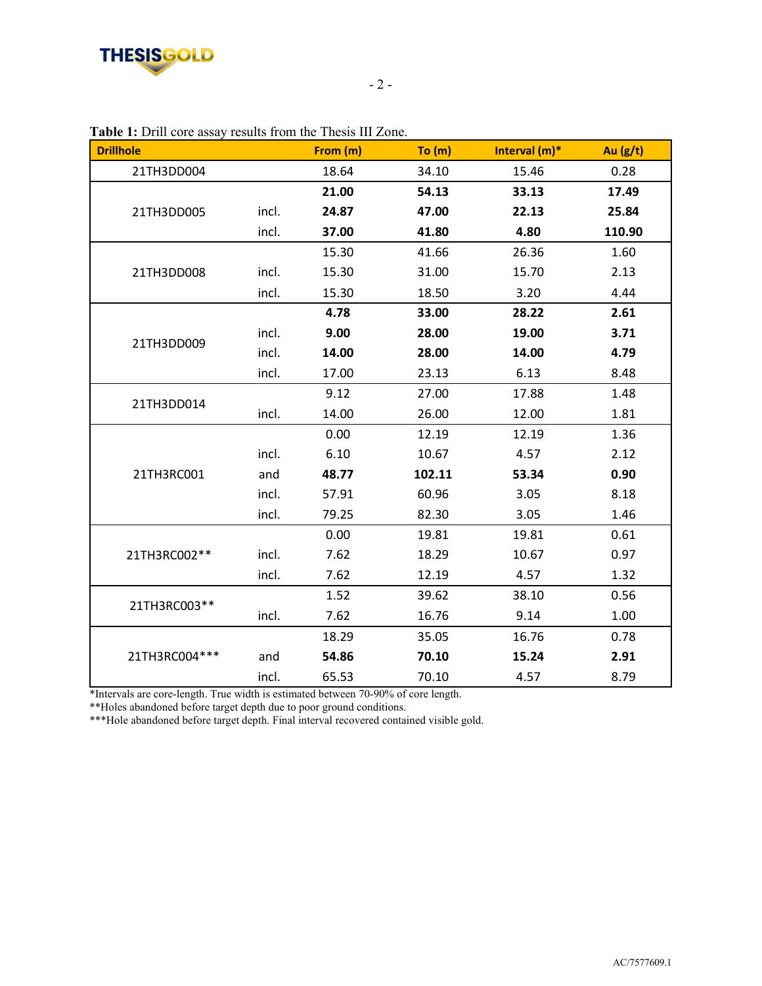

| <b>Drillhole</b> |       | From (m) | To (m) | Interval (m)* | Au (g/t) |
|------------------|-------|----------|--------|---------------|----------|
| 21TH3DD004       |       | 18.64    | 34.10  | 15.46         | 0.28     |
| 21TH3DD005       |       | 21.00    | 54.13  | 33.13         | 17.49    |
|                  | incl. | 24.87    | 47.00  | 22.13         | 25.84    |
|                  | incl. | 37.00    | 41.80  | 4.80          | 110.90   |
| 21TH3DD008       |       | 15.30    | 41.66  | 26.36         | 1.60     |
|                  | incl. | 15.30    | 31.00  | 15.70         | 2.13     |
|                  | incl. | 15.30    | 18.50  | 3.20          | 4.44     |
| 21TH3DD009       |       | 4.78     | 33.00  | 28.22         | 2.61     |
|                  | incl. | 9.00     | 28.00  | 19.00         | 3.71     |
|                  | incl. | 14.00    | 28.00  | 14.00         | 4.79     |
|                  | incl. | 17.00    | 23.13  | 6.13          | 8.48     |
| 21TH3DD014       |       | 9.12     | 27.00  | 17.88         | 1.48     |
|                  | incl. | 14.00    | 26.00  | 12.00         | 1.81     |
| 21TH3RC001       |       | 0.00     | 12.19  | 12.19         | 1.36     |
|                  | incl. | 6.10     | 10.67  | 4.57          | 2.12     |
|                  | and   | 48.77    | 102.11 | 53.34         | 0.90     |
|                  | incl. | 57.91    | 60.96  | 3.05          | 8.18     |
|                  | incl. | 79.25    | 82.30  | 3.05          | 1.46     |
| 21TH3RC002**     |       | 0.00     | 19.81  | 19.81         | 0.61     |
|                  | incl. | 7.62     | 18.29  | 10.67         | 0.97     |
|                  | incl. | 7.62     | 12.19  | 4.57          | 1.32     |
| 21TH3RC003**     |       | 1.52     | 39.62  | 38.10         | 0.56     |
|                  | incl. | 7.62     | 16.76  | 9.14          | 1.00     |
| 21TH3RC004***    |       | 18.29    | 35.05  | 16.76         | 0.78     |
|                  | and   | 54.86    | 70.10  | 15.24         | 2.91     |
|                  | incl. | 65.53    | 70.10  | 4.57          | 8.79     |

**Table 1:** Drill core assay results from the Thesis III Zone.

\*Intervals are core-length. True width is estimated between 70-90% of core length.

\*\*Holes abandoned before target depth due to poor ground conditions.

\*\*\*Hole abandoned before target depth. Final interval recovered contained visible gold.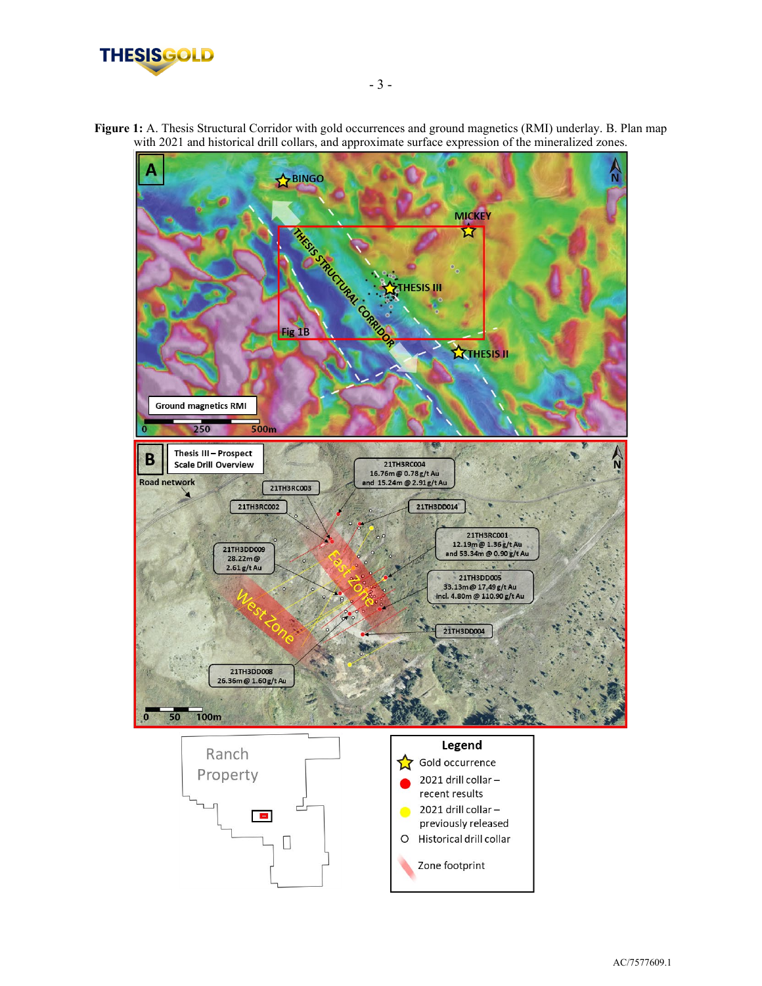



Zone footprint

**Figure 1:** A. Thesis Structural Corridor with gold occurrences and ground magnetics (RMI) underlay. B. Plan map with 2021 and historical drill collars, and approximate surface expression of the mineralized zones.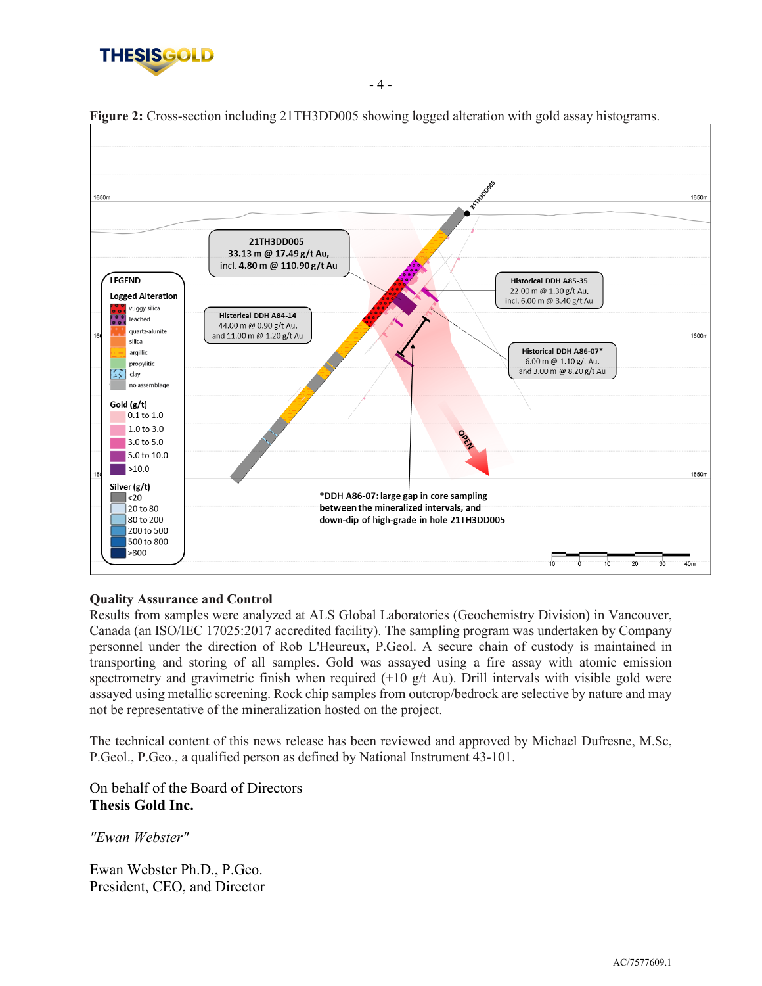



**Figure 2:** Cross-section including 21TH3DD005 showing logged alteration with gold assay histograms.

- 4 -

#### **Quality Assurance and Control**

Results from samples were analyzed at ALS Global Laboratories (Geochemistry Division) in Vancouver, Canada (an ISO/IEC 17025:2017 accredited facility). The sampling program was undertaken by Company personnel under the direction of Rob L'Heureux, P.Geol. A secure chain of custody is maintained in transporting and storing of all samples. Gold was assayed using a fire assay with atomic emission spectrometry and gravimetric finish when required (+10 g/t Au). Drill intervals with visible gold were assayed using metallic screening. Rock chip samples from outcrop/bedrock are selective by nature and may not be representative of the mineralization hosted on the project.

The technical content of this news release has been reviewed and approved by Michael Dufresne, M.Sc, P.Geol., P.Geo., a qualified person as defined by National Instrument 43-101.

On behalf of the Board of Directors **Thesis Gold Inc.**

*"Ewan Webster"*

Ewan Webster Ph.D., P.Geo. President, CEO, and Director